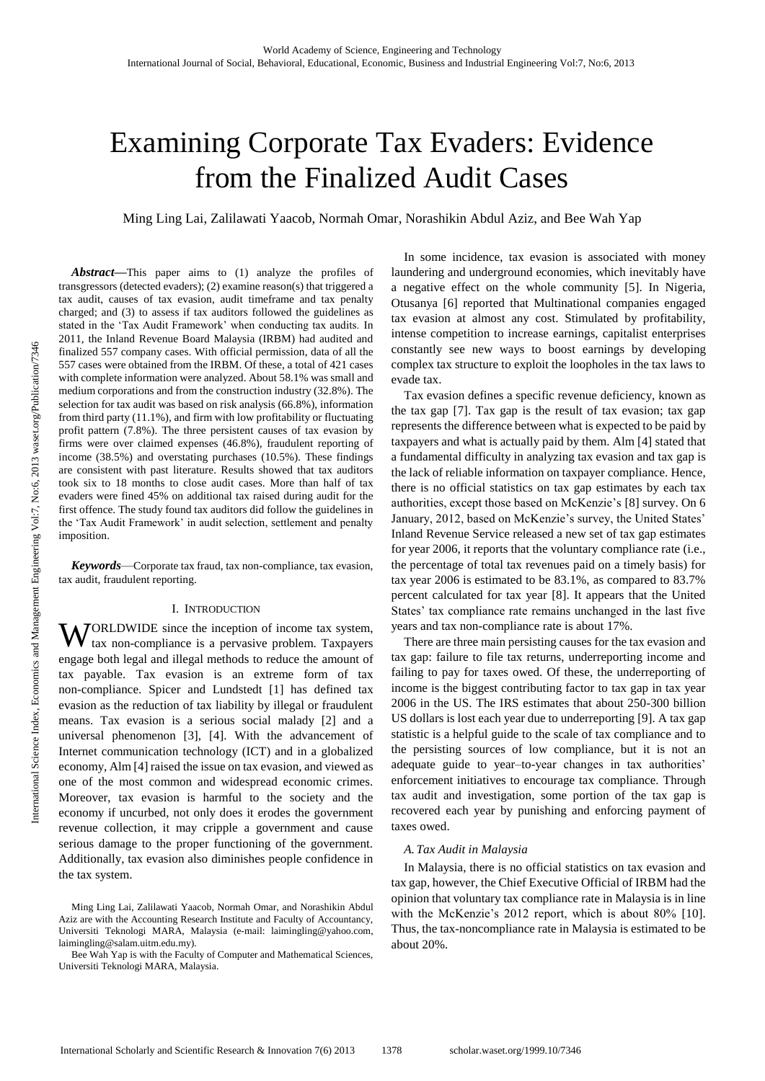# Examining Corporate Tax Evaders: Evidence from the Finalized Audit Cases

Ming Ling Lai, Zalilawati Yaacob, Normah Omar, Norashikin Abdul Aziz, and Bee Wah Yap

*Abstract***—**This paper aims to (1) analyze the profiles of transgressors (detected evaders); (2) examine reason(s) that triggered a tax audit, causes of tax evasion, audit timeframe and tax penalty charged; and (3) to assess if tax auditors followed the guidelines as stated in the 'Tax Audit Framework' when conducting tax audits. In 2011, the Inland Revenue Board Malaysia (IRBM) had audited and finalized 557 company cases. With official permission, data of all the 557 cases were obtained from the IRBM. Of these, a total of 421 cases with complete information were analyzed. About 58.1% was small and medium corporations and from the construction industry (32.8%). The selection for tax audit was based on risk analysis (66.8%), information from third party (11.1%), and firm with low profitability or fluctuating profit pattern (7.8%). The three persistent causes of tax evasion by firms were over claimed expenses (46.8%), fraudulent reporting of income (38.5%) and overstating purchases (10.5%). These findings are consistent with past literature. Results showed that tax auditors took six to 18 months to close audit cases. More than half of tax evaders were fined 45% on additional tax raised during audit for the first offence. The study found tax auditors did follow the guidelines in the 'Tax Audit Framework' in audit selection, settlement and penalty imposition.

*Keywords*—Corporate tax fraud, tax non-compliance, tax evasion, tax audit, fraudulent reporting.

#### I. INTRODUCTION

WORLDWIDE since the inception of income tax system,<br>tax non-compliance is a pervasive problem. Taxpayers tax non-compliance is a pervasive problem. Taxpayers engage both legal and illegal methods to reduce the amount of tax payable. Tax evasion is an extreme form of tax non-compliance. Spicer and Lundstedt [1] has defined tax evasion as the reduction of tax liability by illegal or fraudulent means. Tax evasion is a serious social malady [2] and a universal phenomenon [3], [4]. With the advancement of Internet communication technology (ICT) and in a globalized economy, Alm [4] raised the issue on tax evasion, and viewed as one of the most common and widespread economic crimes. Moreover, tax evasion is harmful to the society and the economy if uncurbed, not only does it erodes the government revenue collection, it may cripple a government and cause serious damage to the proper functioning of the government. Additionally, tax evasion also diminishes people confidence in the tax system.

In some incidence, tax evasion is associated with money laundering and underground economies, which inevitably have a negative effect on the whole community [5]. In Nigeria, Otusanya [6] reported that Multinational companies engaged tax evasion at almost any cost. Stimulated by profitability, intense competition to increase earnings, capitalist enterprises constantly see new ways to boost earnings by developing complex tax structure to exploit the loopholes in the tax laws to evade tax.

Tax evasion defines a specific revenue deficiency, known as the tax gap [7]. Tax gap is the result of tax evasion; tax gap represents the difference between what is expected to be paid by taxpayers and what is actually paid by them. Alm [4] stated that a fundamental difficulty in analyzing tax evasion and tax gap is the lack of reliable information on taxpayer compliance. Hence, there is no official statistics on tax gap estimates by each tax authorities, except those based on McKenzie's [8] survey. On 6 January, 2012, based on McKenzie's survey, the United States' Inland Revenue Service released a new set of tax gap estimates for year 2006, it reports that the voluntary compliance rate (i.e., the percentage of total tax revenues paid on a timely basis) for tax year 2006 is estimated to be 83.1%, as compared to 83.7% percent calculated for tax year [8]. It appears that the United States' tax compliance rate remains unchanged in the last five years and tax non-compliance rate is about 17%.

There are three main persisting causes for the tax evasion and tax gap: failure to file tax returns, underreporting income and failing to pay for taxes owed. Of these, the underreporting of income is the biggest contributing factor to tax gap in tax year 2006 in the US. The IRS estimates that about 250-300 billion US dollars is lost each year due to underreporting [9]. A tax gap statistic is a helpful guide to the scale of tax compliance and to the persisting sources of low compliance, but it is not an adequate guide to year–to-year changes in tax authorities' enforcement initiatives to encourage tax compliance. Through tax audit and investigation, some portion of the tax gap is recovered each year by punishing and enforcing payment of taxes owed.

#### *A. Tax Audit in Malaysia*

In Malaysia, there is no official statistics on tax evasion and tax gap, however, the Chief Executive Official of IRBM had the opinion that voluntary tax compliance rate in Malaysia is in line with the McKenzie's 2012 report, which is about 80% [10]. Thus, the tax-noncompliance rate in Malaysia is estimated to be about 20%.

Ming Ling Lai, Zalilawati Yaacob, Normah Omar, and Norashikin Abdul Aziz are with the Accounting Research Institute and Faculty of Accountancy, Universiti Teknologi MARA, Malaysia (e-mail: laimingling@yahoo.com, laimingling@salam.uitm.edu.my).

Bee Wah Yap is with the Faculty of Computer and Mathematical Sciences, Universiti Teknologi MARA, Malaysia.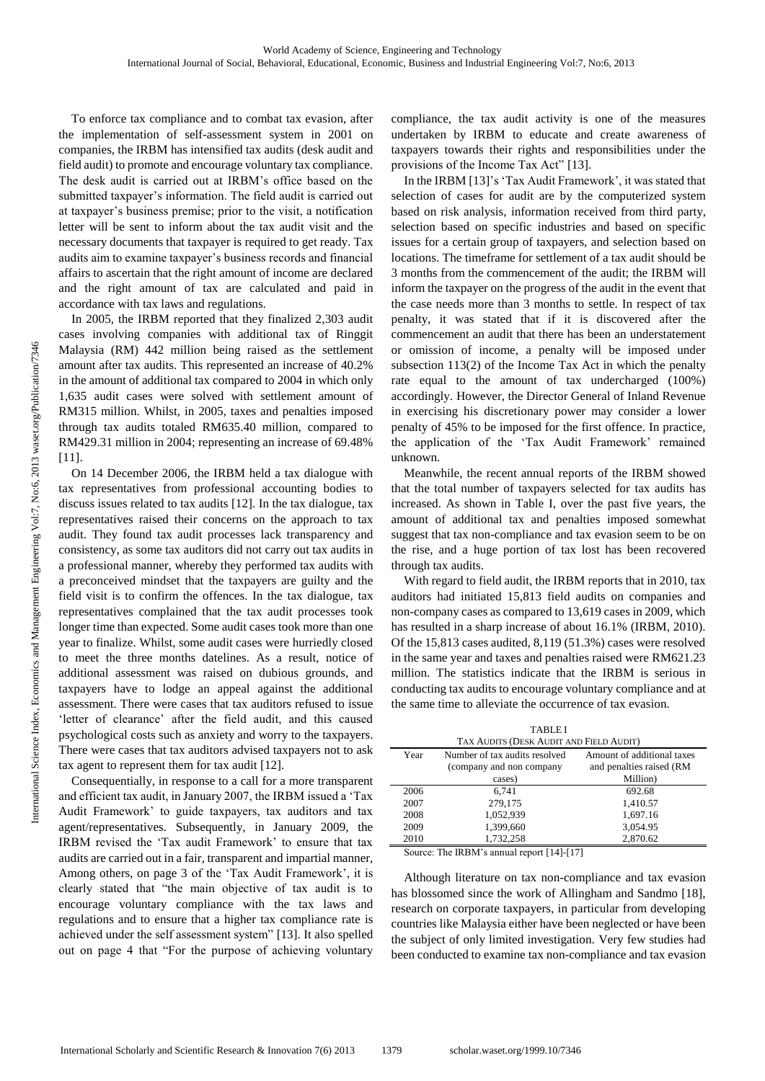To enforce tax compliance and to combat tax evasion, after the implementation of self-assessment system in 2001 on companies, the IRBM has intensified tax audits (desk audit and field audit) to promote and encourage voluntary tax compliance. The desk audit is carried out at IRBM's office based on the submitted taxpayer's information. The field audit is carried out at taxpayer's business premise; prior to the visit, a notification letter will be sent to inform about the tax audit visit and the necessary documents that taxpayer is required to get ready. Tax audits aim to examine taxpayer's business records and financial affairs to ascertain that the right amount of income are declared and the right amount of tax are calculated and paid in accordance with tax laws and regulations.

In 2005, the IRBM reported that they finalized 2,303 audit cases involving companies with additional tax of Ringgit Malaysia (RM) 442 million being raised as the settlement amount after tax audits. This represented an increase of 40.2% in the amount of additional tax compared to 2004 in which only 1,635 audit cases were solved with settlement amount of RM315 million. Whilst, in 2005, taxes and penalties imposed through tax audits totaled RM635.40 million, compared to RM429.31 million in 2004; representing an increase of 69.48% [11].

On 14 December 2006, the IRBM held a tax dialogue with tax representatives from professional accounting bodies to discuss issues related to tax audits [12]. In the tax dialogue, tax representatives raised their concerns on the approach to tax audit. They found tax audit processes lack transparency and consistency, as some tax auditors did not carry out tax audits in a professional manner, whereby they performed tax audits with a preconceived mindset that the taxpayers are guilty and the field visit is to confirm the offences. In the tax dialogue, tax representatives complained that the tax audit processes took longer time than expected. Some audit cases took more than one year to finalize. Whilst, some audit cases were hurriedly closed to meet the three months datelines. As a result, notice of additional assessment was raised on dubious grounds, and taxpayers have to lodge an appeal against the additional assessment. There were cases that tax auditors refused to issue 'letter of clearance' after the field audit, and this caused psychological costs such as anxiety and worry to the taxpayers. There were cases that tax auditors advised taxpayers not to ask tax agent to represent them for tax audit [12].

Consequentially, in response to a call for a more transparent and efficient tax audit, in January 2007, the IRBM issued a 'Tax Audit Framework' to guide taxpayers, tax auditors and tax agent/representatives. Subsequently, in January 2009, the IRBM revised the 'Tax audit Framework' to ensure that tax audits are carried out in a fair, transparent and impartial manner, Among others, on page 3 of the 'Tax Audit Framework', it is clearly stated that "the main objective of tax audit is to encourage voluntary compliance with the tax laws and regulations and to ensure that a higher tax compliance rate is achieved under the self assessment system" [13]. It also spelled out on page 4 that "For the purpose of achieving voluntary compliance, the tax audit activity is one of the measures undertaken by IRBM to educate and create awareness of taxpayers towards their rights and responsibilities under the provisions of the Income Tax Act" [13].

In the IRBM [13]'s 'Tax Audit Framework', it was stated that selection of cases for audit are by the computerized system based on risk analysis, information received from third party, selection based on specific industries and based on specific issues for a certain group of taxpayers, and selection based on locations. The timeframe for settlement of a tax audit should be 3 months from the commencement of the audit; the IRBM will inform the taxpayer on the progress of the audit in the event that the case needs more than 3 months to settle. In respect of tax penalty, it was stated that if it is discovered after the commencement an audit that there has been an understatement or omission of income, a penalty will be imposed under subsection 113(2) of the Income Tax Act in which the penalty rate equal to the amount of tax undercharged (100%) accordingly. However, the Director General of Inland Revenue in exercising his discretionary power may consider a lower penalty of 45% to be imposed for the first offence. In practice, the application of the 'Tax Audit Framework' remained unknown.

Meanwhile, the recent annual reports of the IRBM showed that the total number of taxpayers selected for tax audits has increased. As shown in Table I, over the past five years, the amount of additional tax and penalties imposed somewhat suggest that tax non-compliance and tax evasion seem to be on the rise, and a huge portion of tax lost has been recovered through tax audits.

With regard to field audit, the IRBM reports that in 2010, tax auditors had initiated 15,813 field audits on companies and non-company cases as compared to 13,619 cases in 2009, which has resulted in a sharp increase of about 16.1% (IRBM, 2010). Of the 15,813 cases audited, 8,119 (51.3%) cases were resolved in the same year and taxes and penalties raised were RM621.23 million. The statistics indicate that the IRBM is serious in conducting tax audits to encourage voluntary compliance and at the same time to alleviate the occurrence of tax evasion.

| <b>TABLEI</b><br>TAX AUDITS (DESK AUDIT AND FIELD AUDIT) |                               |                            |  |  |  |  |
|----------------------------------------------------------|-------------------------------|----------------------------|--|--|--|--|
| Year                                                     | Number of tax audits resolved | Amount of additional taxes |  |  |  |  |
|                                                          | (company and non company      | and penalties raised (RM   |  |  |  |  |
|                                                          | cases)                        | Million)                   |  |  |  |  |
| 2006                                                     | 6.741                         | 692.68                     |  |  |  |  |
| 2007                                                     | 279,175                       | 1,410.57                   |  |  |  |  |
| 2008                                                     | 1.052.939                     | 1,697.16                   |  |  |  |  |
| 2009                                                     | 1,399,660                     | 3,054.95                   |  |  |  |  |
| 2010                                                     | 1,732,258                     | 2,870.62                   |  |  |  |  |

Source: The IRBM's annual report [14]-[17]

Although literature on tax non-compliance and tax evasion has blossomed since the work of Allingham and Sandmo [18], research on corporate taxpayers, in particular from developing countries like Malaysia either have been neglected or have been the subject of only limited investigation. Very few studies had been conducted to examine tax non-compliance and tax evasion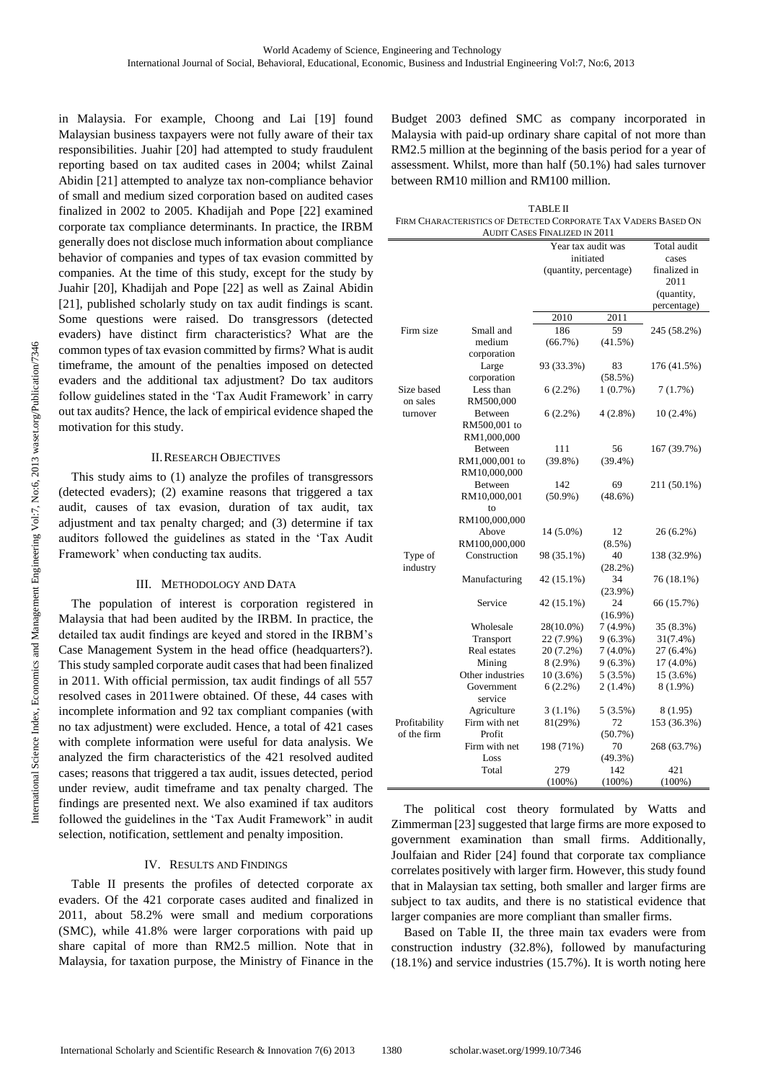in Malaysia. For example, Choong and Lai [19] found Malaysian business taxpayers were not fully aware of their tax responsibilities. Juahir [20] had attempted to study fraudulent reporting based on tax audited cases in 2004; whilst Zainal Abidin [21] attempted to analyze tax non-compliance behavior of small and medium sized corporation based on audited cases finalized in 2002 to 2005. Khadijah and Pope [22] examined corporate tax compliance determinants. In practice, the IRBM generally does not disclose much information about compliance behavior of companies and types of tax evasion committed by companies. At the time of this study, except for the study by Juahir [20], Khadijah and Pope [22] as well as Zainal Abidin [21], published scholarly study on tax audit findings is scant. Some questions were raised. Do transgressors (detected evaders) have distinct firm characteristics? What are the common types of tax evasion committed by firms? What is audit timeframe, the amount of the penalties imposed on detected evaders and the additional tax adjustment? Do tax auditors follow guidelines stated in the 'Tax Audit Framework' in carry out tax audits? Hence, the lack of empirical evidence shaped the motivation for this study.

#### II.RESEARCH OBJECTIVES

This study aims to (1) analyze the profiles of transgressors (detected evaders); (2) examine reasons that triggered a tax audit, causes of tax evasion, duration of tax audit, tax adjustment and tax penalty charged; and (3) determine if tax auditors followed the guidelines as stated in the 'Tax Audit Framework' when conducting tax audits.

#### III. METHODOLOGY AND DATA

The population of interest is corporation registered in Malaysia that had been audited by the IRBM. In practice, the detailed tax audit findings are keyed and stored in the IRBM's Case Management System in the head office (headquarters?). This study sampled corporate audit cases that had been finalized in 2011. With official permission, tax audit findings of all 557 resolved cases in 2011were obtained. Of these, 44 cases with incomplete information and 92 tax compliant companies (with no tax adjustment) were excluded. Hence, a total of 421 cases with complete information were useful for data analysis. We analyzed the firm characteristics of the 421 resolved audited cases; reasons that triggered a tax audit, issues detected, period under review, audit timeframe and tax penalty charged. The findings are presented next. We also examined if tax auditors followed the guidelines in the 'Tax Audit Framework" in audit selection, notification, settlement and penalty imposition.

#### IV. RESULTS AND FINDINGS

Table II presents the profiles of detected corporate ax evaders. Of the 421 corporate cases audited and finalized in 2011, about 58.2% were small and medium corporations (SMC), while 41.8% were larger corporations with paid up share capital of more than RM2.5 million. Note that in Malaysia, for taxation purpose, the Ministry of Finance in the

Budget 2003 defined SMC as company incorporated in Malaysia with paid-up ordinary share capital of not more than RM2.5 million at the beginning of the basis period for a year of assessment. Whilst, more than half (50.1%) had sales turnover between RM10 million and RM100 million.

| <b>TABLE II</b>                                                |
|----------------------------------------------------------------|
| FIRM CHARACTERISTICS OF DETECTED CORPORATE TAX VADERS BASED ON |
| AUDIT CASES FINALIZED IN 2011                                  |

|                              |                                                                                                                                                              | Year tax audit was                                                                                                          |                                                                                                                                            | Total audit                                                                                                                   |  |
|------------------------------|--------------------------------------------------------------------------------------------------------------------------------------------------------------|-----------------------------------------------------------------------------------------------------------------------------|--------------------------------------------------------------------------------------------------------------------------------------------|-------------------------------------------------------------------------------------------------------------------------------|--|
|                              |                                                                                                                                                              | initiated                                                                                                                   |                                                                                                                                            | cases                                                                                                                         |  |
|                              |                                                                                                                                                              | (quantity, percentage)                                                                                                      |                                                                                                                                            | finalized in                                                                                                                  |  |
|                              |                                                                                                                                                              |                                                                                                                             | 2011                                                                                                                                       |                                                                                                                               |  |
|                              |                                                                                                                                                              |                                                                                                                             |                                                                                                                                            | (quantity,                                                                                                                    |  |
|                              |                                                                                                                                                              |                                                                                                                             |                                                                                                                                            | percentage)                                                                                                                   |  |
|                              |                                                                                                                                                              | 2010                                                                                                                        | 2011                                                                                                                                       |                                                                                                                               |  |
| Firm size                    | Small and                                                                                                                                                    | 186                                                                                                                         | 59                                                                                                                                         | 245 (58.2%)                                                                                                                   |  |
|                              | medium                                                                                                                                                       | $(66.7\%)$                                                                                                                  | $(41.5\%)$                                                                                                                                 |                                                                                                                               |  |
|                              | corporation                                                                                                                                                  |                                                                                                                             |                                                                                                                                            |                                                                                                                               |  |
|                              | Large                                                                                                                                                        | 93 (33.3%)                                                                                                                  | 83                                                                                                                                         | 176 (41.5%)                                                                                                                   |  |
|                              | corporation                                                                                                                                                  |                                                                                                                             | (58.5%)                                                                                                                                    |                                                                                                                               |  |
| Size based                   | Less than                                                                                                                                                    | $6(2.2\%)$                                                                                                                  | $1(0.7\%)$                                                                                                                                 | 7 (1.7%)                                                                                                                      |  |
| on sales                     | RM500,000                                                                                                                                                    |                                                                                                                             |                                                                                                                                            |                                                                                                                               |  |
| turnover                     | Between                                                                                                                                                      | $6(2.2\%)$                                                                                                                  | $4(2.8\%)$                                                                                                                                 | $10(2.4\%)$                                                                                                                   |  |
|                              | RM500,001 to                                                                                                                                                 |                                                                                                                             |                                                                                                                                            |                                                                                                                               |  |
|                              | RM1,000,000                                                                                                                                                  |                                                                                                                             |                                                                                                                                            |                                                                                                                               |  |
|                              | <b>Between</b>                                                                                                                                               | 111                                                                                                                         | 56                                                                                                                                         | 167 (39.7%)                                                                                                                   |  |
|                              | RM1,000,001 to                                                                                                                                               | $(39.8\%)$                                                                                                                  | $(39.4\%)$                                                                                                                                 |                                                                                                                               |  |
|                              | RM10,000,000                                                                                                                                                 |                                                                                                                             |                                                                                                                                            |                                                                                                                               |  |
|                              | <b>Between</b>                                                                                                                                               | 142                                                                                                                         | 69                                                                                                                                         | 211 (50.1%)                                                                                                                   |  |
|                              | RM10,000,001                                                                                                                                                 | $(50.9\%)$                                                                                                                  | $(48.6\%)$                                                                                                                                 |                                                                                                                               |  |
|                              | to                                                                                                                                                           |                                                                                                                             |                                                                                                                                            |                                                                                                                               |  |
|                              | RM100,000,000                                                                                                                                                |                                                                                                                             |                                                                                                                                            |                                                                                                                               |  |
|                              | Above                                                                                                                                                        | 14 (5.0%)                                                                                                                   | 12                                                                                                                                         | 26 (6.2%)                                                                                                                     |  |
|                              | RM100,000,000                                                                                                                                                |                                                                                                                             | $(8.5\%)$                                                                                                                                  |                                                                                                                               |  |
| Type of                      | Construction                                                                                                                                                 | 98 (35.1%)                                                                                                                  | 40                                                                                                                                         | 138 (32.9%)                                                                                                                   |  |
| industry                     |                                                                                                                                                              |                                                                                                                             | (28.2%)                                                                                                                                    |                                                                                                                               |  |
|                              | Manufacturing                                                                                                                                                | 42 (15.1%)                                                                                                                  | 34                                                                                                                                         | 76 (18.1%)                                                                                                                    |  |
|                              |                                                                                                                                                              |                                                                                                                             | $(23.9\%)$                                                                                                                                 |                                                                                                                               |  |
|                              | Service                                                                                                                                                      | 42 (15.1%)                                                                                                                  | 24                                                                                                                                         | 66 (15.7%)                                                                                                                    |  |
|                              |                                                                                                                                                              |                                                                                                                             | $(16.9\%)$                                                                                                                                 |                                                                                                                               |  |
|                              | Wholesale                                                                                                                                                    | 28(10.0%)                                                                                                                   | $7(4.9\%)$                                                                                                                                 | 35 (8.3%)                                                                                                                     |  |
|                              |                                                                                                                                                              |                                                                                                                             |                                                                                                                                            |                                                                                                                               |  |
|                              |                                                                                                                                                              |                                                                                                                             |                                                                                                                                            |                                                                                                                               |  |
|                              |                                                                                                                                                              |                                                                                                                             |                                                                                                                                            |                                                                                                                               |  |
|                              |                                                                                                                                                              |                                                                                                                             |                                                                                                                                            |                                                                                                                               |  |
|                              |                                                                                                                                                              |                                                                                                                             |                                                                                                                                            |                                                                                                                               |  |
|                              |                                                                                                                                                              |                                                                                                                             |                                                                                                                                            |                                                                                                                               |  |
|                              |                                                                                                                                                              |                                                                                                                             |                                                                                                                                            |                                                                                                                               |  |
|                              |                                                                                                                                                              |                                                                                                                             |                                                                                                                                            |                                                                                                                               |  |
|                              |                                                                                                                                                              |                                                                                                                             |                                                                                                                                            |                                                                                                                               |  |
|                              |                                                                                                                                                              |                                                                                                                             |                                                                                                                                            |                                                                                                                               |  |
|                              |                                                                                                                                                              |                                                                                                                             |                                                                                                                                            |                                                                                                                               |  |
|                              |                                                                                                                                                              |                                                                                                                             |                                                                                                                                            |                                                                                                                               |  |
| Profitability<br>of the firm | Transport<br>Real estates<br>Mining<br>Other industries<br>Government<br>service<br>Agriculture<br>Firm with net<br>Profit<br>Firm with net<br>Loss<br>Total | 22 (7.9%)<br>20 (7.2%)<br>$8(2.9\%)$<br>$10(3.6\%)$<br>$6(2.2\%)$<br>$3(1.1\%)$<br>81(29%)<br>198 (71%)<br>279<br>$(100\%)$ | $9(6.3\%)$<br>$7(4.0\%)$<br>$9(6.3\%)$<br>$5(3.5\%)$<br>$2(1.4\%)$<br>5 (3.5%)<br>72<br>$(50.7\%)$<br>70<br>$(49.3\%)$<br>142<br>$(100\%)$ | 31(7.4%)<br>27 (6.4%)<br>$17(4.0\%)$<br>15 (3.6%)<br>$8(1.9\%)$<br>8 (1.95)<br>153 (36.3%)<br>268 (63.7%)<br>421<br>$(100\%)$ |  |

The political cost theory formulated by Watts and Zimmerman [23] suggested that large firms are more exposed to government examination than small firms. Additionally, Joulfaian and Rider [24] found that corporate tax compliance correlates positively with larger firm. However, this study found that in Malaysian tax setting, both smaller and larger firms are subject to tax audits, and there is no statistical evidence that larger companies are more compliant than smaller firms.

Based on Table II, the three main tax evaders were from construction industry (32.8%), followed by manufacturing (18.1%) and service industries (15.7%). It is worth noting here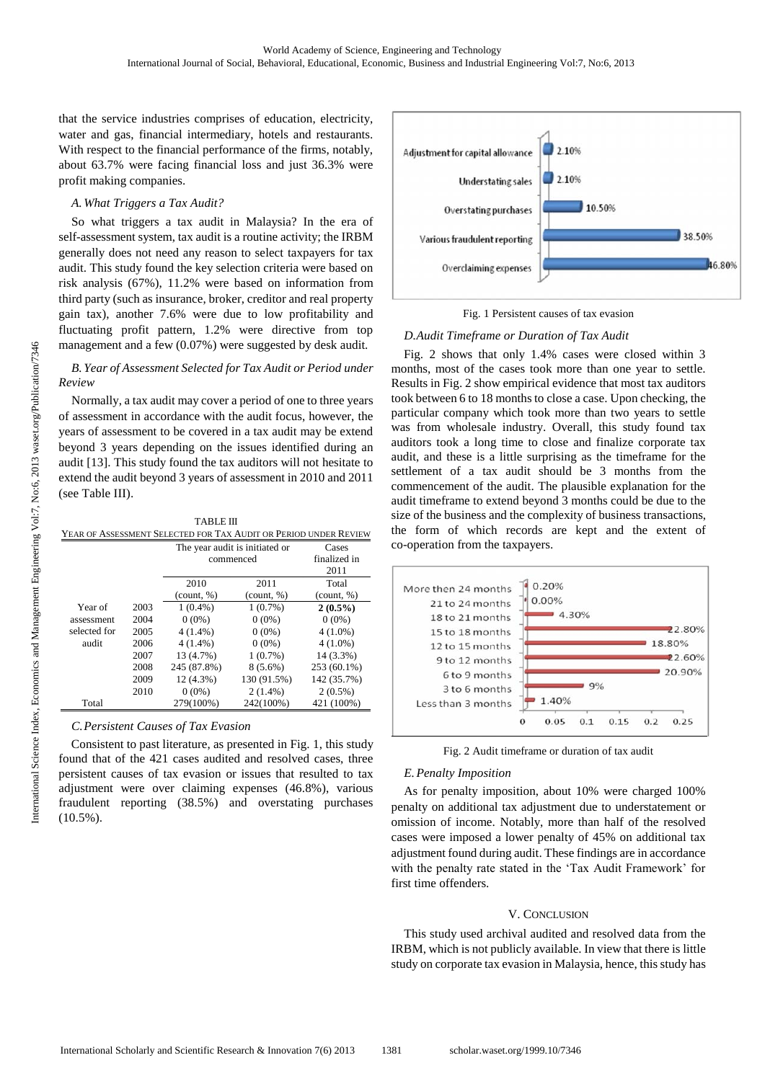that the service industries comprises of education, electricity, water and gas, financial intermediary, hotels and restaurants. With respect to the financial performance of the firms, notably, about 63.7% were facing financial loss and just 36.3% were profit making companies.

# *A. What Triggers a Tax Audit?*

So what triggers a tax audit in Malaysia? In the era of self-assessment system, tax audit is a routine activity; the IRBM generally does not need any reason to select taxpayers for tax audit. This study found the key selection criteria were based on risk analysis (67%), 11.2% were based on information from third party (such as insurance, broker, creditor and real property gain tax), another 7.6% were due to low profitability and fluctuating profit pattern, 1.2% were directive from top management and a few (0.07%) were suggested by desk audit.

# *B. Year of Assessment Selected for Tax Audit or Period under Review*

Normally, a tax audit may cover a period of one to three years of assessment in accordance with the audit focus, however, the years of assessment to be covered in a tax audit may be extend beyond 3 years depending on the issues identified during an audit [13]. This study found the tax auditors will not hesitate to extend the audit beyond 3 years of assessment in 2010 and 2011 (see Table III).

| <b>TABLE III</b>                                                 |  |
|------------------------------------------------------------------|--|
| YEAR OF ASSESSMENT SELECTED FOR TAX AUDIT OR PERIOD UNDER REVIEW |  |

|              |      | The year audit is initiated or           |                                           | Cases                                     |
|--------------|------|------------------------------------------|-------------------------------------------|-------------------------------------------|
|              |      | commenced                                |                                           | finalized in                              |
|              |      |                                          |                                           | 2011                                      |
|              |      | 2010                                     | 2011                                      | Total                                     |
|              |      | $\left(\text{count}, \frac{9}{6}\right)$ | $\left(\text{count}, \frac{\%}{2}\right)$ | $\left(\text{count}, \frac{\%}{2}\right)$ |
| Year of      | 2003 | $1(0.4\%)$                               | $1(0.7\%)$                                | $2(0.5\%)$                                |
| assessment   | 2004 | $0(0\%)$                                 | $0(0\%)$                                  | $0(0\%)$                                  |
| selected for | 2005 | $4(1.4\%)$                               | $0(0\%)$                                  | $4(1.0\%)$                                |
| audit        | 2006 | $4(1.4\%)$                               | $0(0\%)$                                  | $4(1.0\%)$                                |
|              | 2007 | 13 (4.7%)                                | 1(0.7%)                                   | 14 (3.3%)                                 |
|              | 2008 | 245 (87.8%)                              | $8(5.6\%)$                                | 253 (60.1%)                               |
|              | 2009 | 12(4.3%)                                 | 130 (91.5%)                               | 142 (35.7%)                               |
|              | 2010 | $0(0\%)$                                 | $2(1.4\%)$                                | $2(0.5\%)$                                |
| Total        |      | 279(100%)                                | 242(100%)                                 | 421 (100%)                                |

# *C.Persistent Causes of Tax Evasion*

Consistent to past literature, as presented in Fig. 1, this study found that of the 421 cases audited and resolved cases, three persistent causes of tax evasion or issues that resulted to tax adjustment were over claiming expenses (46.8%), various fraudulent reporting (38.5%) and overstating purchases (10.5%).



### Fig. 1 Persistent causes of tax evasion

# *D.Audit Timeframe or Duration of Tax Audit*

Fig. 2 shows that only 1.4% cases were closed within 3 months, most of the cases took more than one year to settle. Results in Fig. 2 show empirical evidence that most tax auditors took between 6 to 18 months to close a case. Upon checking, the particular company which took more than two years to settle was from wholesale industry. Overall, this study found tax auditors took a long time to close and finalize corporate tax audit, and these is a little surprising as the timeframe for the settlement of a tax audit should be 3 months from the commencement of the audit. The plausible explanation for the audit timeframe to extend beyond 3 months could be due to the size of the business and the complexity of business transactions, the form of which records are kept and the extent of co-operation from the taxpayers.



Fig. 2 Audit timeframe or duration of tax audit

# *E. Penalty Imposition*

As for penalty imposition, about 10% were charged 100% penalty on additional tax adjustment due to understatement or omission of income. Notably, more than half of the resolved cases were imposed a lower penalty of 45% on additional tax adjustment found during audit. These findings are in accordance with the penalty rate stated in the 'Tax Audit Framework' for first time offenders.

# V. CONCLUSION

This study used archival audited and resolved data from the IRBM, which is not publicly available. In view that there is little study on corporate tax evasion in Malaysia, hence, this study has